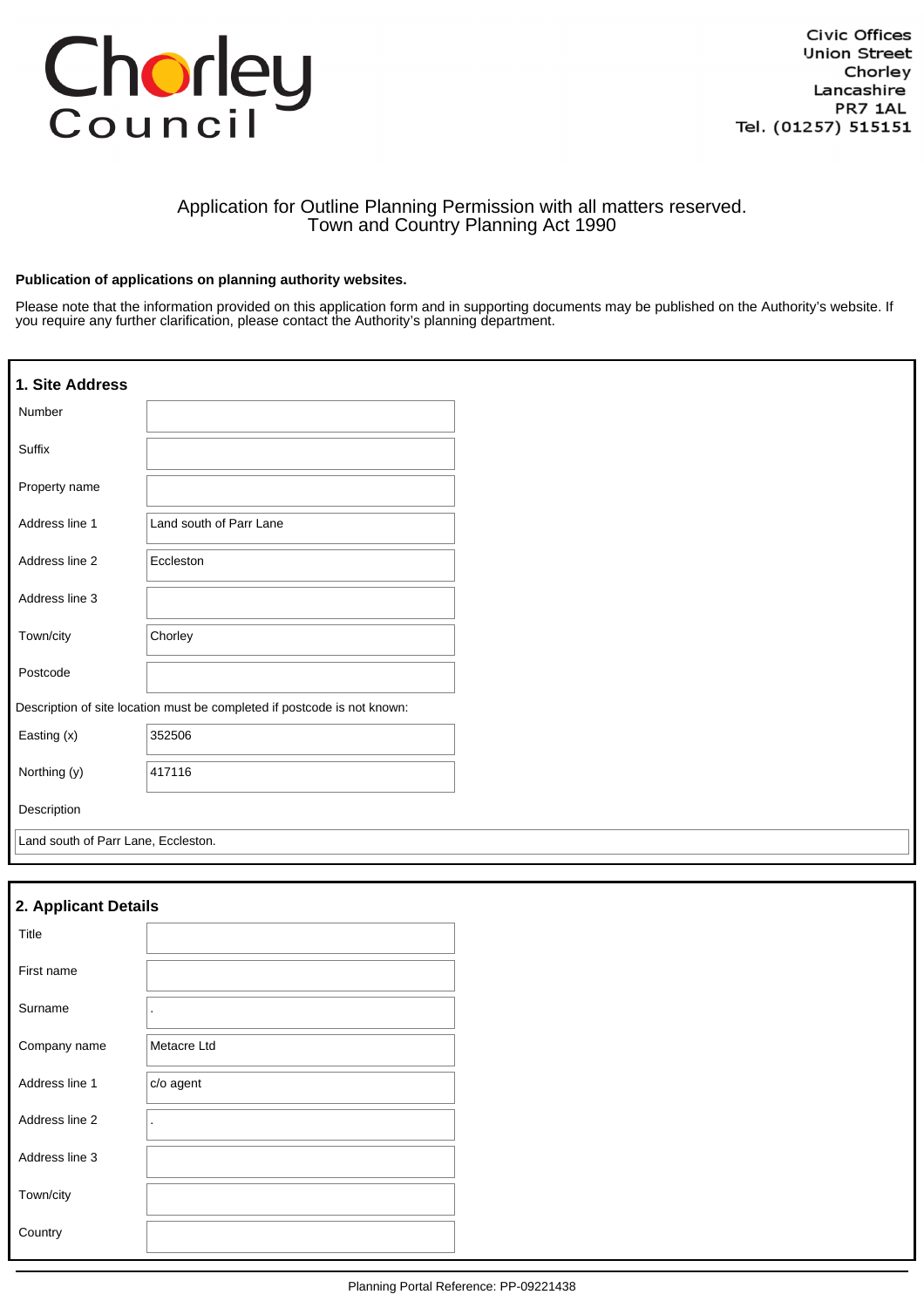# Chorley

### Application for Outline Planning Permission with all matters reserved. Town and Country Planning Act 1990

#### **Publication of applications on planning authority websites.**

Please note that the information provided on this application form and in supporting documents may be published on the Authority's website. If you require any further clarification, please contact the Authority's planning department.

| 1. Site Address                                                          |                         |  |  |  |
|--------------------------------------------------------------------------|-------------------------|--|--|--|
| Number                                                                   |                         |  |  |  |
| Suffix                                                                   |                         |  |  |  |
| Property name                                                            |                         |  |  |  |
| Address line 1                                                           | Land south of Parr Lane |  |  |  |
| Address line 2                                                           | Eccleston               |  |  |  |
| Address line 3                                                           |                         |  |  |  |
| Town/city                                                                | Chorley                 |  |  |  |
| Postcode                                                                 |                         |  |  |  |
| Description of site location must be completed if postcode is not known: |                         |  |  |  |
| Easting (x)                                                              | 352506                  |  |  |  |
| Northing (y)                                                             | 417116                  |  |  |  |
| Description                                                              |                         |  |  |  |
| Land south of Parr Lane, Eccleston.                                      |                         |  |  |  |

| 2. Applicant Details |             |  |  |
|----------------------|-------------|--|--|
| Title                |             |  |  |
| First name           |             |  |  |
| Surname              | ٠           |  |  |
| Company name         | Metacre Ltd |  |  |
| Address line 1       | c/o agent   |  |  |
| Address line 2       | ٠           |  |  |
| Address line 3       |             |  |  |
| Town/city            |             |  |  |
| Country              |             |  |  |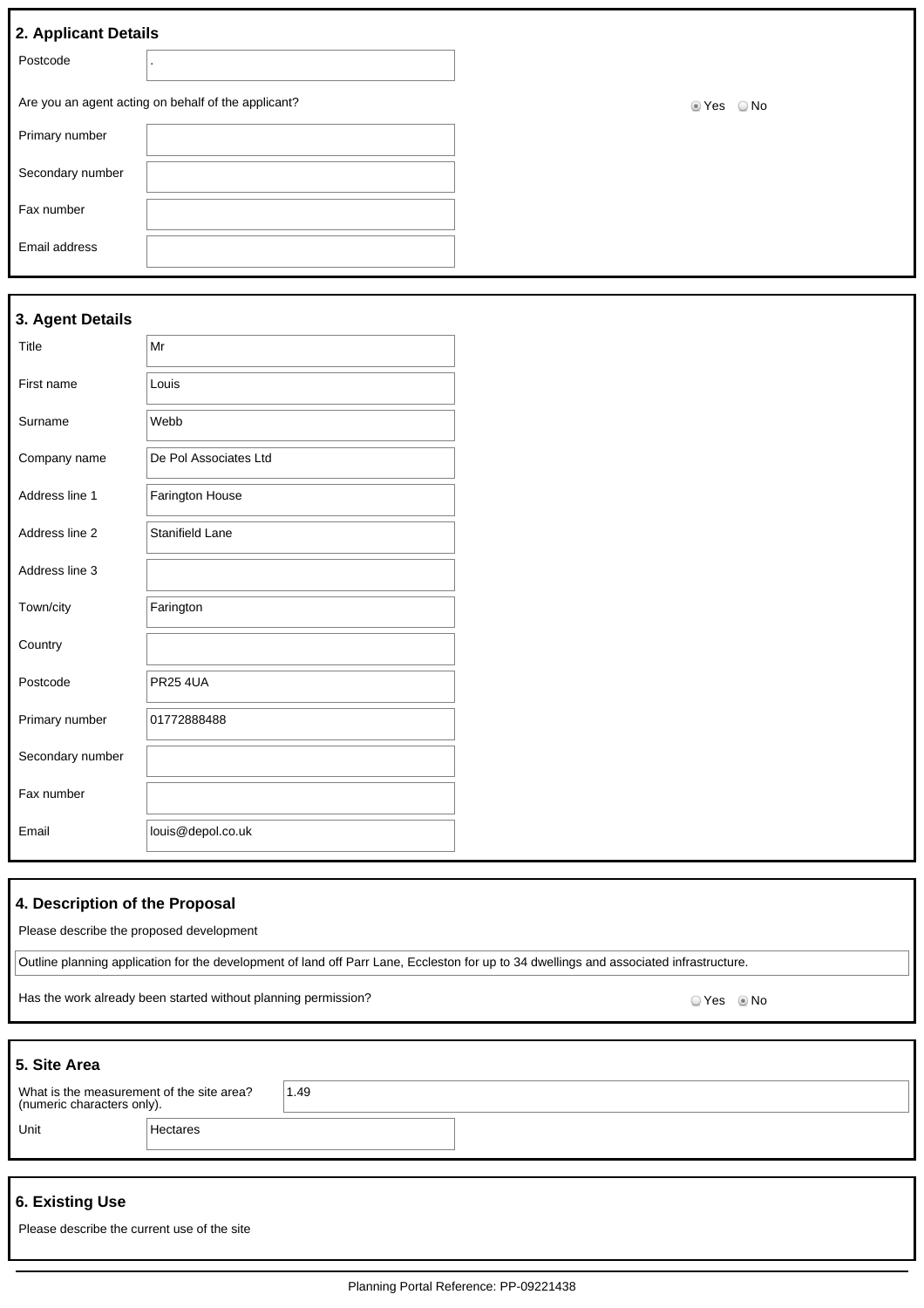## **3. Agent Details**

| Title            | Mr                    |  |
|------------------|-----------------------|--|
| First name       | Louis                 |  |
| Surname          | Webb                  |  |
| Company name     | De Pol Associates Ltd |  |
| Address line 1   | Farington House       |  |
| Address line 2   | Stanifield Lane       |  |
| Address line 3   |                       |  |
| Town/city        | Farington             |  |
| Country          |                       |  |
| Postcode         | <b>PR25 4UA</b>       |  |
| Primary number   | 01772888488           |  |
| Secondary number |                       |  |
| Fax number       |                       |  |
| Email            | louis@depol.co.uk     |  |

#### **4. Description of the Proposal**

Please describe the proposed development

Outline planning application for the development of land off Parr Lane, Eccleston for up to 34 dwellings and associated infrastructure.

Has the work already been started without planning permission?<br>
O Yes © No

| 5. Site Area                                                            |          |      |
|-------------------------------------------------------------------------|----------|------|
| What is the measurement of the site area?<br>(numeric characters only). |          | 1.49 |
| Unit                                                                    | Hectares |      |
|                                                                         |          |      |

# **6. Existing Use**

| Please describe the current use of the site |  |
|---------------------------------------------|--|
|---------------------------------------------|--|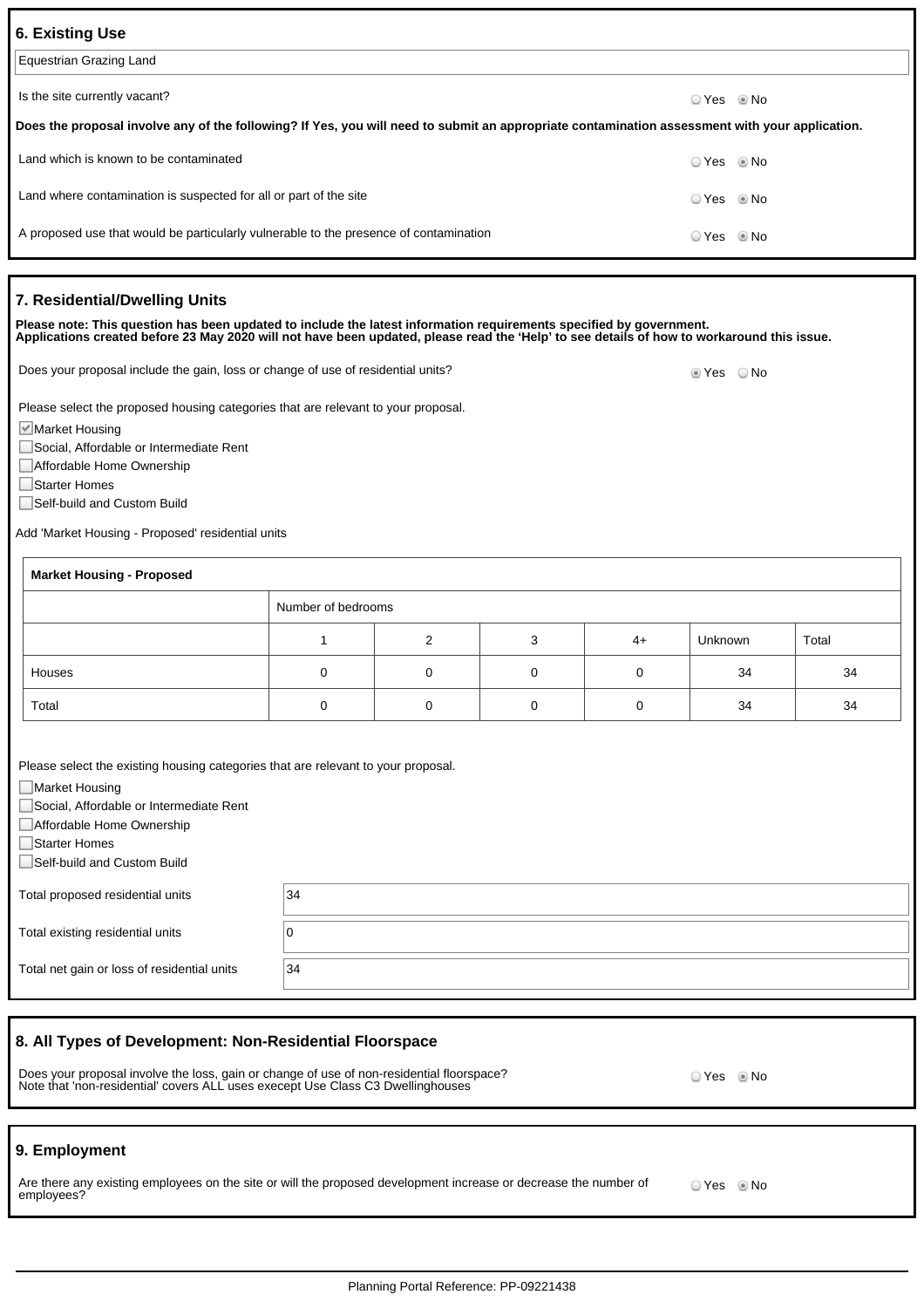| <b>6. Existing Use</b>                                                                                                                         |            |  |  |  |
|------------------------------------------------------------------------------------------------------------------------------------------------|------------|--|--|--|
| Equestrian Grazing Land                                                                                                                        |            |  |  |  |
| Is the site currently vacant?                                                                                                                  | ○ Yes ◎ No |  |  |  |
| Does the proposal involve any of the following? If Yes, you will need to submit an appropriate contamination assessment with your application. |            |  |  |  |
| Land which is known to be contaminated                                                                                                         | ○ Yes ◎ No |  |  |  |
| Land where contamination is suspected for all or part of the site                                                                              |            |  |  |  |
| A proposed use that would be particularly vulnerable to the presence of contamination                                                          |            |  |  |  |
|                                                                                                                                                |            |  |  |  |

#### **7. Residential/Dwelling Units**

**Please note: This question has been updated to include the latest information requirements specified by government. Applications created before 23 May 2020 will not have been updated, please read the 'Help' to see details of how to workaround this issue.**

Does your proposal include the gain, loss or change of use of residential units? Does your proposal include the gain, loss or change of use of residential units?

Please select the proposed housing categories that are relevant to your proposal.

Market Housing

Social, Affordable or Intermediate Rent

Affordable Home Ownership

□Starter Homes

■Self-build and Custom Build

Add 'Market Housing - Proposed' residential units

| <b>Market Housing - Proposed</b> |                    |          |  |      |         |       |
|----------------------------------|--------------------|----------|--|------|---------|-------|
|                                  | Number of bedrooms |          |  |      |         |       |
|                                  |                    | ົ        |  | $4+$ | Unknown | Total |
| Houses                           |                    | 0        |  |      | 34      | 34    |
| Total                            |                    | $\Omega$ |  |      | 34      | 34    |

Please select the existing housing categories that are relevant to your proposal.

■Market Housing

Social, Affordable or Intermediate Rent

Affordable Home Ownership

□Starter Homes

■Self-build and Custom Build

| Total proposed residential units            | 34            |
|---------------------------------------------|---------------|
| Total existing residential units            |               |
| Total net gain or loss of residential units | <sup>34</sup> |

#### **8. All Types of Development: Non-Residential Floorspace**

Does your proposal involve the loss, gain or change of use of non-residential floorspace? Note that 'non-residential' covers ALL uses execept Use Class C3 Dwellinghouses

#### **9. Employment**

Are there any existing employees on the site or will the proposed development increase or decrease the number of employees? O Yes <sup>O</sup> No

© Yes <sup></sup> ® No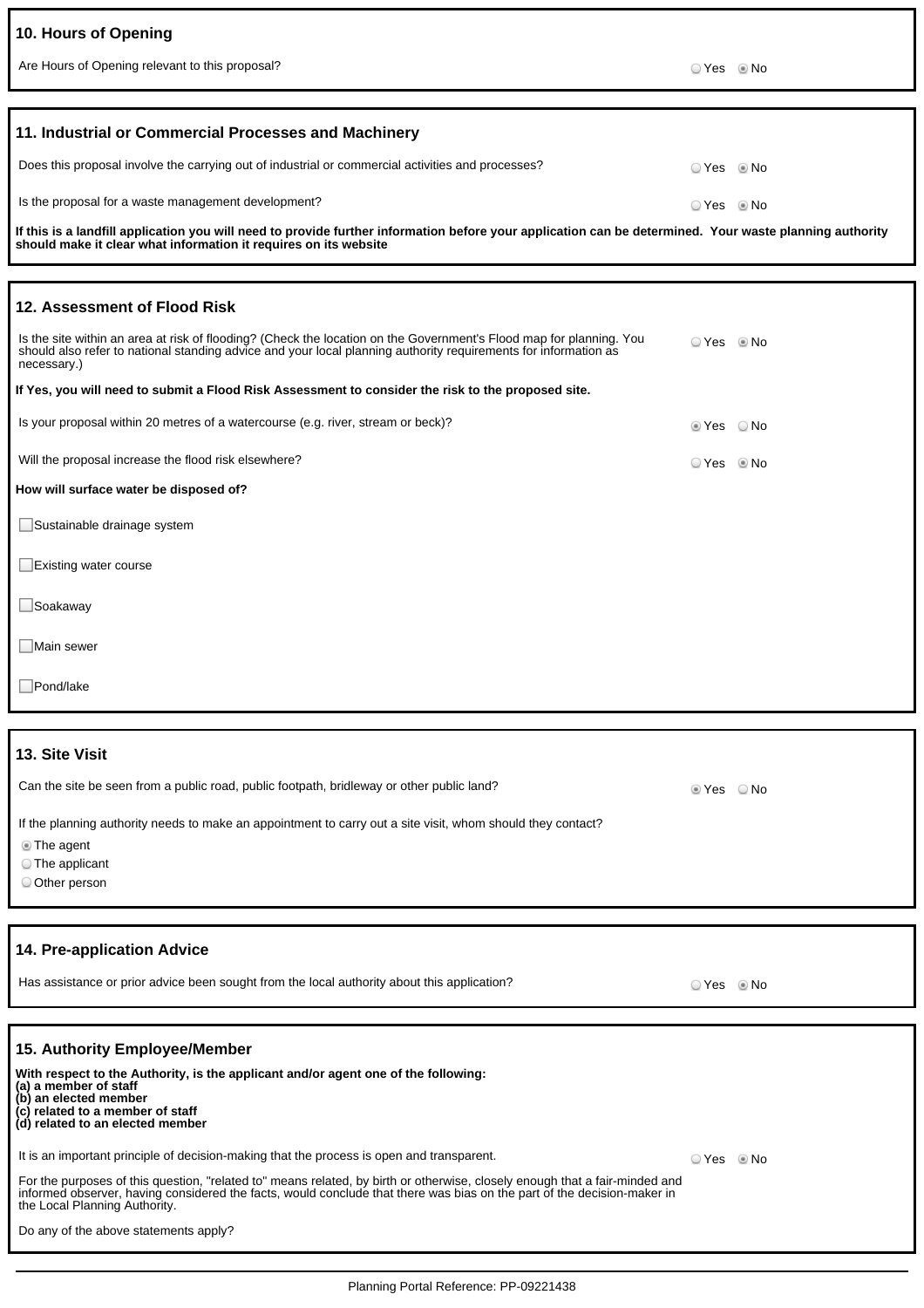| 10. Hours of Opening                                                                                                                                                                                                                                  |                |  |
|-------------------------------------------------------------------------------------------------------------------------------------------------------------------------------------------------------------------------------------------------------|----------------|--|
| Are Hours of Opening relevant to this proposal?                                                                                                                                                                                                       | ⊙ Yes © No     |  |
|                                                                                                                                                                                                                                                       |                |  |
| 11. Industrial or Commercial Processes and Machinery                                                                                                                                                                                                  |                |  |
| Does this proposal involve the carrying out of industrial or commercial activities and processes?                                                                                                                                                     | ⊙ Yes     ® No |  |
| Is the proposal for a waste management development?                                                                                                                                                                                                   | ⊙ Yes     ® No |  |
| If this is a landfill application you will need to provide further information before your application can be determined. Your waste planning authority<br>should make it clear what information it requires on its website                           |                |  |
|                                                                                                                                                                                                                                                       |                |  |
| 12. Assessment of Flood Risk                                                                                                                                                                                                                          |                |  |
| Is the site within an area at risk of flooding? (Check the location on the Government's Flood map for planning. You<br>should also refer to national standing advice and your local planning authority requirements for information as<br>necessary.) | ⊙ Yes     ® No |  |
| If Yes, you will need to submit a Flood Risk Assessment to consider the risk to the proposed site.                                                                                                                                                    |                |  |
| Is your proposal within 20 metres of a watercourse (e.g. river, stream or beck)?                                                                                                                                                                      | tes ONo        |  |
| Will the proposal increase the flood risk elsewhere?                                                                                                                                                                                                  | ⊙ Yes     ® No |  |
| How will surface water be disposed of?                                                                                                                                                                                                                |                |  |
| Sustainable drainage system                                                                                                                                                                                                                           |                |  |
| □Existing water course                                                                                                                                                                                                                                |                |  |
| □Soakaway                                                                                                                                                                                                                                             |                |  |
| ∟Main sewer                                                                                                                                                                                                                                           |                |  |
| Pond/lake                                                                                                                                                                                                                                             |                |  |
|                                                                                                                                                                                                                                                       |                |  |
| 13. Site Visit                                                                                                                                                                                                                                        |                |  |
| Can the site be seen from a public road, public footpath, bridleway or other public land?                                                                                                                                                             | Yes ONo        |  |
| If the planning authority needs to make an appointment to carry out a site visit, whom should they contact?                                                                                                                                           |                |  |
| <b>The agent</b><br>The applicant                                                                                                                                                                                                                     |                |  |
| Other person                                                                                                                                                                                                                                          |                |  |
|                                                                                                                                                                                                                                                       |                |  |
| 14. Pre-application Advice                                                                                                                                                                                                                            |                |  |

Has assistance or prior advice been sought from the local authority about this application? <br>
O Yes No

l

**15. Authority Employee/Member With respect to the Authority, is the applicant and/or agent one of the following: (a) a member of staff (b) an elected member (c) related to a member of staff (d) related to an elected member** It is an important principle of decision-making that the process is open and transparent. For the purposes of this question, "related to" means related, by birth or otherwise, closely enough that a fair-minded and informed observer, having considered the facts, would conclude that there was bias on the part of the decision-maker in the Local Planning Authority. Do any of the above statements apply? O Yes <sup>@</sup> No